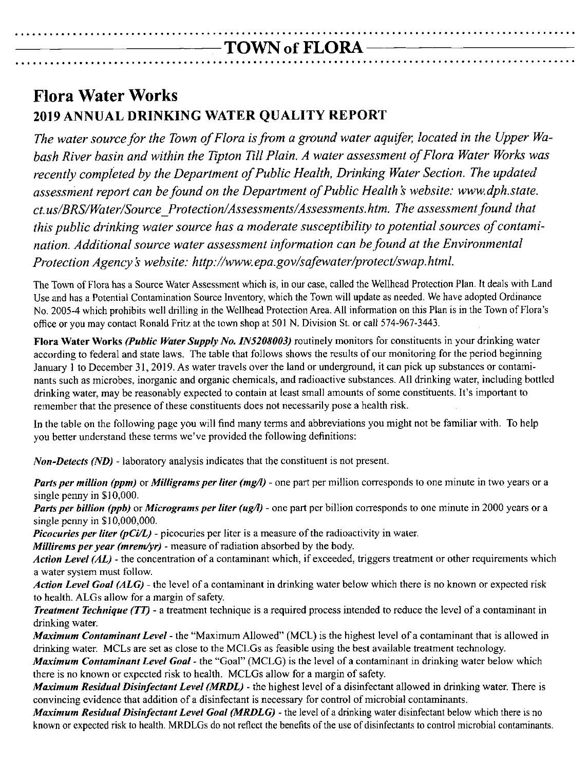# **.................................................................................................** ---------TOWN **of FLORA - --- ----**

# **Flora Water Works 2019 ANNUAL DRINKING WATER QUALITY REPORT**

**.................................................................................................**

*The water source for the Town of Flora* is*from a ground water aquifer, located in the Upper Wabash River basin and within the Tipton Till Plain. A water assessment of Flora Water Works was recently completed by the Department of Public Health, Drinking Water Section. The updated assessment report can be found on the Department of Public Health* <sup>50</sup> *website: [www.dph.state.](http://www.dph.state.) ct.us/BRS/Water/Source \_Protection/Assessments/ Assessments.htm. The assessment found that this public drinking water source has a moderate susceptibility to potential sources of contamination. Additional source water assessment information can befound at the Environmental Protection Agency's website: <http://www.epa.gov/safewater/protect/swap.html.>* 

The Town of Flora has a Source Water Assessment which is, in our case, called the Wellhead Protection Plan. It deals with Land Use and has a Potential Contamination Source Inventory, which the Town will update as needed. We have adopted Ordinance No. 2005-4 which prohibits well drilling in the Wellhead Protection Area. All information on this Plan is in the Town of Flora's office or you may contact Ronald Fritz at the town shop at 501 N. Division St. or call 574-967-3443.

**Flora Water Works** *(Public Water Supply No. IN5208003)* **routinely monitors for constituents in your drinking water** according to federal and state laws. The table that follows shows the results of our monitoring for the period beginning January I to December 31, 2019. As water travels over the land or underground, it can pick up substances or contaminants such as microbes, inorganic and organic chemicals, and radioactive substances. All drinking water, including bottled drinking water, may be reasonably expected to contain at least small amounts of some constituents. It's important to remember that the presence of these constituents does not necessarily pose a health risk.

In the table on the following page you will find many terms and abbreviations you might not be familiar with. To help you better understand these terms we've provided the following definitions:

*Non-Detects (ND) -* laboratory analysis indicates that the constituent is not present.

*Paris per million (ppm)* or *Milligrams per titer (mg/l) -* one part per million corresponds to one minute in two years or a singlc penny in \$10,000.

*Paris per billion (ppb)* or *Micrograms per titer (ug/l) -* one part per billion corresponds to one minute in 2000 ycars or a single penny in \$10,000,000.

*Picocuries per titer (pCi/L) -* picocuries per litcr is a measure of the radioactivity in water.

*Millirems per year (mrem/yr) -* measure of radiation absorbed by the body.

*Action Level (AL) -* the concentration of a contaminant which, if excceded, triggers treatment or other requirements which a water system must follow.

*Action Level Goal (ALG) -* the level of a contaminant in drinking water below which there is no known or expected risk to health. ALGs allow for a margin of safety.

*Treatment Technique (TT) -* a treatment technique is a required process intended to reduce the level of a contaminant in drinking water.

*Maximum Contaminant Level* - the "Maximum Allowed" (MCL) is the highest level of a contaminant that is allowed in drinking water. MCLs are set as close to the MCLGs as feasible using the best available treatment technology.

*Maximum Contaminant Level Goat -* the "Goal" (MCLG) is the level of a contaminant in drinking water below which there is no known or expected risk to health. MCLGs allow for a margin of safety.

*Maximum Residual Disinfectant Level (MRDL) -* the highest level of a disinfectant allowed in drinking water. There is convincing evidence that addition of a disinfectant is necessary for control of microbial contaminants.

*Maximum Residual Disinfectant Level Goal (MRDLG) -* the level of a drinking water disinfectant below which there is no known or expected risk to health. MRDLGs do not reflect the benefits of the use of disinfectants to control microbial contaminants.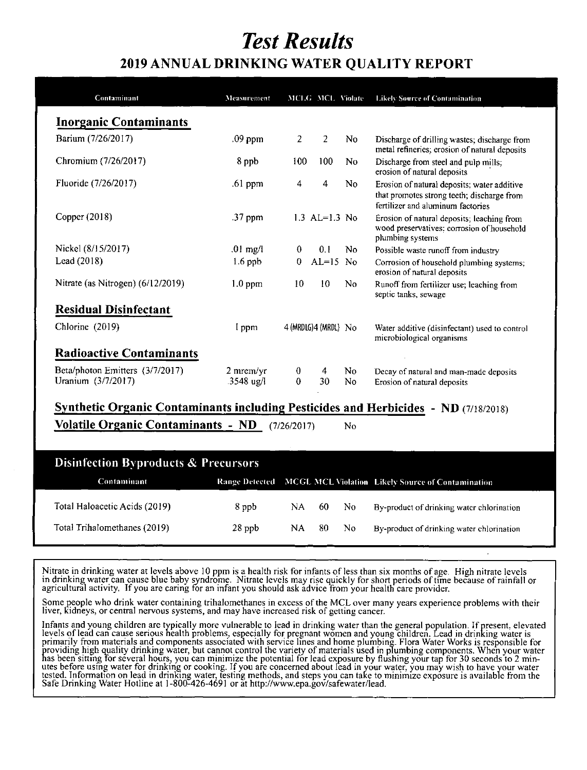# **Test Results**

### 2019 ANNUAL DRINKING WATER QUALITY REPORT

| <b>Inorganic Contaminants</b>                                                              |            |             |                       |                |                                                                                                                                |
|--------------------------------------------------------------------------------------------|------------|-------------|-----------------------|----------------|--------------------------------------------------------------------------------------------------------------------------------|
| Barium (7/26/2017)                                                                         | .09 ppm    | 2           | 2                     | No             | Discharge of drilling wastes; discharge from<br>metal refineries; erosion of natural deposits                                  |
| Chromium (7/26/2017)                                                                       | 8 ppb      | 100         | 100                   | N <sub>0</sub> | Discharge from steel and pulp mills;<br>erosion of natural deposits                                                            |
| Fluoride (7/26/2017)                                                                       | $.61$ ppm  | 4           | 4                     | No.            | Erosion of natural deposits; water additive<br>that promotes strong teeth; discharge from<br>fertilizer and aluminum factories |
| Copper (2018)                                                                              | .37 ppm    |             | 1.3 $AL=1.3$ No.      |                | Erosion of natural deposits; leaching from<br>wood preservatives; corrosion of household<br>plumbing systems                   |
| Nickel (8/15/2017)                                                                         | $.01$ mg/l | $\bf{0}$    | 0.1                   | No.            | Possible waste runoff from industry                                                                                            |
| Lead (2018)                                                                                | $1.6$ ppb  | $\Omega$    | $AL=15$ No            |                | Corrosion of household plumbing systems;<br>erosion of natural deposits                                                        |
| Nitrate (as Nitrogen) (6/12/2019)                                                          | $1.0$ ppm  | 10          | 10                    | N <sub>0</sub> | Runoff from fertilizer use; leaching from<br>septic tanks, sewage                                                              |
| <b>Residual Disinfectant</b>                                                               |            |             |                       |                |                                                                                                                                |
| Chlorine (2019)                                                                            | I ppm      |             | 4 (MRDLG) 4 (MRDL) No |                | Water additive (disinfectant) used to control<br>microbiological organisms                                                     |
| <b>Radioactive Contaminants</b>                                                            |            |             |                       |                |                                                                                                                                |
| Beta/photon Emitters (3/7/2017)                                                            | 2 mrem/yr  | $\bf{0}$    | 4                     | N <sub>0</sub> | Decay of natural and man-made deposits                                                                                         |
| Uranium (3/7/2017)                                                                         | .3548 ug/l | $\theta$    | 30                    | No.            | Erosion of natural deposits                                                                                                    |
| <b>Synthetic Organic Contaminants including Pesticides and Herbicides - ND (7/18/2018)</b> |            |             |                       |                |                                                                                                                                |
| <b>Volatile Organic Contaminants - ND</b>                                                  |            | (7/26/2017) |                       | <b>No</b>      |                                                                                                                                |

| Disintection Dyproducts & Freedraors |                               |          |     |     |     |                                                                  |  |  |  |
|--------------------------------------|-------------------------------|----------|-----|-----|-----|------------------------------------------------------------------|--|--|--|
|                                      | Contaminant                   |          |     |     |     | Range Detected MCGL MCL Violation Likely Source of Contamination |  |  |  |
|                                      | Total Haloacetic Acids (2019) | 8 ppb    | NA. | 60. | No. | By-product of drinking water chlorination                        |  |  |  |
|                                      | Total Trihalomethanes (2019)  | $28$ ppb | NA. | 80. | No. | By-product of drinking water chlorination                        |  |  |  |

Nitrate in drinking water at levels above 10 ppm is a health risk for infants of less than six months of age. High nitrate levels in drinking water can cause blue baby syndrome. Nitrate levels may rise quickly for short pe

Some people who drink water containing trihalomethanes in excess of the MCL over many years experience problems with their liver, kidneys, or central nervous systems, and may have increased risk of getting cancer.

Infants and young children are typically more vulnerable to lead in drinking water than the general population. If present, elevated<br>levels of lead can cause serious health problems, especially for pregnant women and young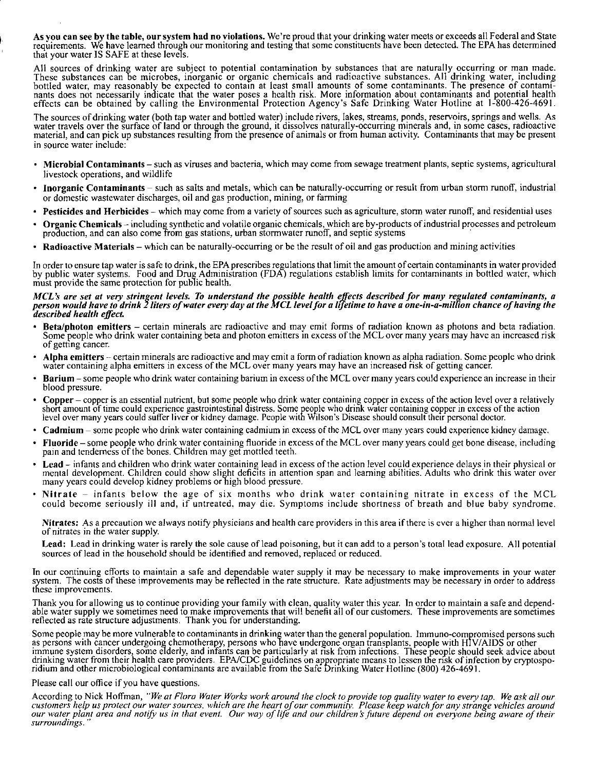As vou can see by the table, our system had no violations. We're proud that your drinking water meets or exceeds all Federal and State requirements. We have learned through our monitoring and testing that some constituents have been detected. The EPA has determine that your water IS SAFE at these levels.

All sources of drinking water are subject to potential contamination by substances that are naturally occurring or man made. These substances can be microbes, inorganic or organic chemicals and radioactive substances. All drinking water, includin\$ bottled water, may reasonably be expected to contain at least small amounts of some contaminants. The presence of contami nants does not necessarily indicate that the water poses a health risk. More. information about contaminants and potential health effects can be obtained by calling the Environmental Protection Agency's Safe Drinking Water Hotline at 1-800-426-4691.

The sources of drinking water (both tap water and bottled water) include rivers, lakes, streams, ponds, reservoirs, springs and wells. As water travels over the surface of land or through the ground, it dissolves naturally-occurring minerals and, in some cases, radioactive material, and can pick up substances resulting from the presence of animals or from human activity. Contaminants that may be present in source water include:

- Microbial Contaminants such as viruses and bacteria, which may come from sewage treatment plants, septic systems, agricultural livestock operations, and wildlife
- Inorganic Contaminants such as salts and metals, which can be naturally-occurring or result from urban storm runoff, industrial or domestic wastewater discharges, oil and gas production, mining, or farming
- Pesticides and Herbicides which may come from a variety of sources such as agriculture, storm water runoff, and residential uses
- Organic Chemicals including synthetic and volatile organic chemicals, which are by-products of industrial processes and petroleum production, and can also come from gas stations, urban stann water runoff, and septic systems .
- Radioactive Materials which can be naturally-occurring or be the result of oil and gas production and mining activities

In order to ensure tap water is safe to drink, the EPA prescribes regulations that limit the amount of certain contaminants in water provided by public water systems. Food and Drug Administration (FDA) regulations establisb limits for contaminants in bottled water, which must provide the same protection for public health.

### MCL's are set at very stringent levels. To understand the possible health effects described for many regulated contaminants, a<br>person would have to drink 2 liters of water every day at the MCL level for a lifetime to have *described health effect.*

- Beta/photon emitters certain minerals are radioactive and may emit forms of radiation known as photons and beta radiation. Some people who drink water containing beta and photon emitters in excess of the MCL over many years may have an increased risk of getting cancer.
- Alpha emitters certain minerals are radioactive and may emit a form of radiation known as alpha radiation. Some people who drink water containing alpha emitters in excess of the MCL over many years may have an increased risk of getting cancer.
- Barium some people who drink water containing barium in excess of the MCL over many years could experience an increase in their blood pressure.
- Copper copper is an essential nutrient, but some people who drink water containing copper in excess of the action level over a relatively short amount of time could experience gastrointestinal distress. Some people who drink water containing copper in excess of the action level over many years could suffer liver or kidney damage. People with Wilson's Disease should consult their personal doctor.
- Cadmium some people who drink water containing cadmium in excess of the MCl over many years could experience kidney damage.
- Fluoride some people who drink water containing fluoride in excess of the MCL over many years could get bone disease, including pain and tenderness of the bones. Children may get mottled teeth.
- Lead infants and children who drink water containing lead in excess of the action level could experience delays in their physical or mental development. Children could show slight deficits in attention span and learning abilities. Adults who drink this water over many years could develop kidney problems or high blood pressure.
- Nitrate infants below the age of six months who drink water containing nitrate in excess of the MCL could become seriously ill and, if untreated, may die. Symptoms include shortness of breath and blue baby syndrome.

Nitrates: As a precaution we always notify physicians and health care providers in this area if there is ever a higher than normal level of nitrates in the water supply.

Lead: Lead in drinking water is rarely the sole cause of lead poisoning, but it can add to a person's total lead exposure. All potential sources of lead in the bousehold should be identified and removed, replaced or reduced.

Tn our continuing efforts to maintain a safe and dependable water supply it may be necessary to make improvements in your water system. The costs of these improvements may be reflected in the rate structure. Rate adjustments may be necessary in order to address these Improvements.

Thank you for allowing us to continue providing your family with clean, quality water this year. In order to maintain a safe and dependable water supply we sometimes need to make improvements that will benefit all of our customers. These improvements are sometime reflected as rate structure adjustments. Thank you for understanding.

Some people may be more vulnerable to contaminants in drinking water than the general population. Immuno-compromised persons such as persons with cancer undergoing chemotherapy, persons who have undergone organ transplants. people with HlY /AIDS or other immune system disorders, some elderly, and infants can be particularly at risk from infections. These people should seek advice about drinking water from their health care providers. EPA/CDC guidelines on appropriate means to lessen the risk of infection by cryptosporidium and other microbiological contaminants are available from the Safe Drinking Water Hotline (800) 426-4691.

#### Please call our office if you have questions.

According to Nick Hoffman, "We at Flora Water Works work around the clock to provide top quality water to every tap. We ask all our customers help us protect our water sources, which are the heart of our community. Please keep watch for any strange vehicles around our water plant area and notify us in that event. Our way of life and our children's future depend on everyone being aware of their *surroundings. "*